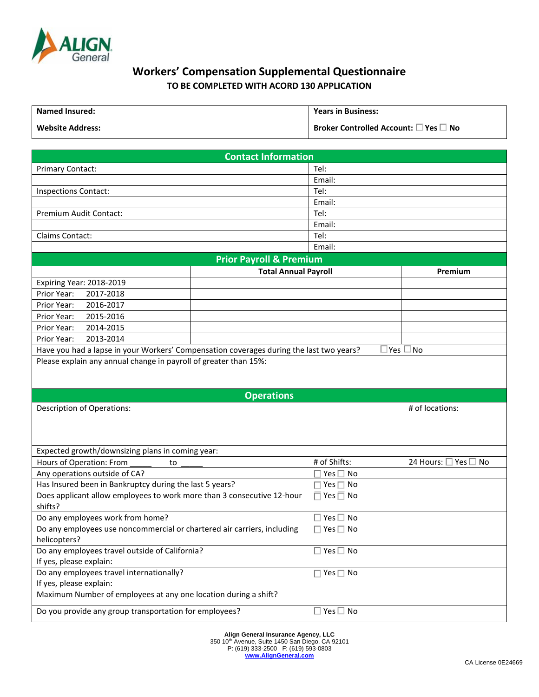

## **Workers' Compensation Supplemental Questionnaire TO BE COMPLETED WITH ACORD 130 APPLICATION**

| <b>Named Insured:</b>   | <b>Years in Business:</b>                             |
|-------------------------|-------------------------------------------------------|
| <b>Website Address:</b> | Broker Controlled Account: $\square$ Yes $\square$ No |

| <b>Contact Information</b>                                                              |                                    |                                   |                      |  |
|-----------------------------------------------------------------------------------------|------------------------------------|-----------------------------------|----------------------|--|
| <b>Primary Contact:</b>                                                                 |                                    | Tel:                              |                      |  |
|                                                                                         |                                    | Email:                            |                      |  |
| <b>Inspections Contact:</b>                                                             |                                    | Tel:                              |                      |  |
|                                                                                         |                                    | Email:                            |                      |  |
| Premium Audit Contact:                                                                  |                                    | Tel:                              |                      |  |
|                                                                                         |                                    | Email:                            |                      |  |
| Claims Contact:                                                                         |                                    | Tel:                              |                      |  |
|                                                                                         |                                    | Email:                            |                      |  |
|                                                                                         | <b>Prior Payroll &amp; Premium</b> |                                   |                      |  |
|                                                                                         | <b>Total Annual Payroll</b>        |                                   | Premium              |  |
| Expiring Year: 2018-2019                                                                |                                    |                                   |                      |  |
| 2017-2018<br>Prior Year:                                                                |                                    |                                   |                      |  |
| Prior Year:<br>2016-2017                                                                |                                    |                                   |                      |  |
| Prior Year:<br>2015-2016                                                                |                                    |                                   |                      |  |
| 2014-2015<br>Prior Year:                                                                |                                    |                                   |                      |  |
| Prior Year:<br>2013-2014                                                                |                                    |                                   |                      |  |
| Have you had a lapse in your Workers' Compensation coverages during the last two years? |                                    |                                   | ∃Yes □ No            |  |
| Please explain any annual change in payroll of greater than 15%:                        |                                    |                                   |                      |  |
|                                                                                         |                                    |                                   |                      |  |
|                                                                                         |                                    |                                   |                      |  |
| <b>Operations</b>                                                                       |                                    |                                   |                      |  |
| <b>Description of Operations:</b>                                                       |                                    |                                   |                      |  |
|                                                                                         |                                    |                                   | # of locations:      |  |
|                                                                                         |                                    |                                   |                      |  |
|                                                                                         |                                    |                                   |                      |  |
|                                                                                         |                                    |                                   |                      |  |
| Expected growth/downsizing plans in coming year:                                        |                                    |                                   |                      |  |
| Hours of Operation: From<br>to                                                          |                                    | # of Shifts:                      | 24 Hours: □ Yes □ No |  |
| Any operations outside of CA?                                                           |                                    | Yes $\Box$ No                     |                      |  |
| Has Insured been in Bankruptcy during the last 5 years?                                 |                                    | $\sqsupset$ Yes $\sqsupset$<br>No |                      |  |
| Does applicant allow employees to work more than 3 consecutive 12-hour                  |                                    | $\Box$ Yes $\Box$ No              |                      |  |
| shifts?                                                                                 |                                    |                                   |                      |  |
| Do any employees work from home?                                                        |                                    | $\square$ Yes $\square$ No        |                      |  |
| Do any employees use noncommercial or chartered air carriers, including                 |                                    | $\Box$ Yes $\Box$ No              |                      |  |
| helicopters?                                                                            |                                    |                                   |                      |  |
| Do any employees travel outside of California?                                          |                                    | $\square$ Yes $\square$ No        |                      |  |
| If yes, please explain:                                                                 |                                    |                                   |                      |  |
| Do any employees travel internationally?                                                |                                    | $\Box$ Yes $\Box$ No              |                      |  |
| If yes, please explain:                                                                 |                                    |                                   |                      |  |
| Maximum Number of employees at any one location during a shift?                         |                                    |                                   |                      |  |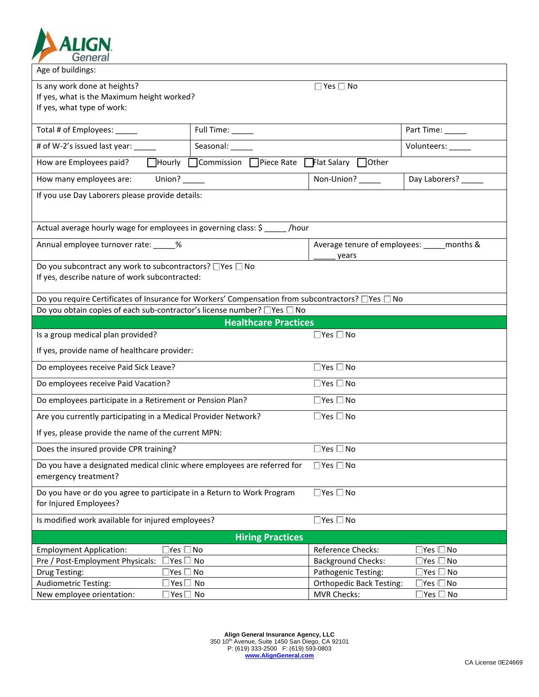

| Age of buildings:                                                                                                                      |                                                          |                                                   |                     |  |
|----------------------------------------------------------------------------------------------------------------------------------------|----------------------------------------------------------|---------------------------------------------------|---------------------|--|
| Is any work done at heights?<br>$\square$ Yes $\square$ No<br>If yes, what is the Maximum height worked?<br>If yes, what type of work: |                                                          |                                                   |                     |  |
|                                                                                                                                        |                                                          |                                                   |                     |  |
| Total # of Employees: _____                                                                                                            | Full Time: _____                                         |                                                   | Part Time: ______   |  |
| # of W-2's issued last year: _____                                                                                                     | Seasonal:                                                |                                                   | Volunteers:         |  |
| How are Employees paid?                                                                                                                | $\Box$ Hourly $\Box$ Commission $\Box$ Piece Rate $\Box$ | $\mathsf{\mathsf{T}}$ Flat Salary $\bigcap$ Other |                     |  |
| Union? $\frac{1}{\sqrt{1-\frac{1}{2}}\sqrt{1-\frac{1}{2}}\left(1-\frac{1}{2}\right)}$<br>How many employees are:                       |                                                          | Non-Union?                                        | Day Laborers? _____ |  |
| If you use Day Laborers please provide details:                                                                                        |                                                          |                                                   |                     |  |
|                                                                                                                                        |                                                          |                                                   |                     |  |
| Actual average hourly wage for employees in governing class: \$                                                                        | /hour                                                    |                                                   |                     |  |
| Annual employee turnover rate: 46                                                                                                      |                                                          | Average tenure of employees: months &<br>years    |                     |  |
| Do you subcontract any work to subcontractors? □ Yes □ No<br>If yes, describe nature of work subcontracted:                            |                                                          |                                                   |                     |  |
| Do you require Certificates of Insurance for Workers' Compensation from subcontractors? □ Yes □ No                                     |                                                          |                                                   |                     |  |
| Do you obtain copies of each sub-contractor's license number? □ Yes □ No                                                               |                                                          |                                                   |                     |  |
|                                                                                                                                        | <b>Healthcare Practices</b>                              |                                                   |                     |  |
| Is a group medical plan provided?                                                                                                      |                                                          | $\square$ Yes $\square$ No                        |                     |  |
| If yes, provide name of healthcare provider:                                                                                           |                                                          |                                                   |                     |  |
| Do employees receive Paid Sick Leave?                                                                                                  |                                                          | $\square$ Yes $\square$ No                        |                     |  |
| Do employees receive Paid Vacation?                                                                                                    |                                                          | $\Box$ Yes $\Box$ No                              |                     |  |
| Do employees participate in a Retirement or Pension Plan?                                                                              |                                                          | $\square$ Yes $\square$ No                        |                     |  |
| Are you currently participating in a Medical Provider Network?                                                                         |                                                          | $\Box$ Yes $\Box$ No                              |                     |  |
| If yes, please provide the name of the current MPN:                                                                                    |                                                          |                                                   |                     |  |
| Does the insured provide CPR training?                                                                                                 |                                                          | $\square$ Yes $\square$ No                        |                     |  |
| Do you have a designated medical clinic where employees are referred for<br>emergency treatment?                                       |                                                          | $\square$ Yes $\square$ No                        |                     |  |
| Do you have or do you agree to participate in a Return to Work Program<br>for Injured Employees?                                       |                                                          | $\square$ Yes $\square$ No                        |                     |  |
| Is modified work available for injured employees?                                                                                      |                                                          | $\square$ Yes $\square$ No                        |                     |  |
| <b>Hiring Practices</b>                                                                                                                |                                                          |                                                   |                     |  |
| <b>Employment Application:</b><br>∃res □ No                                                                                            |                                                          | Reference Checks:                                 | Yes □ No            |  |
| Pre / Post-Employment Physicals:<br>∃Yes □ No                                                                                          |                                                          | <b>Background Checks:</b>                         | Yes<br>∃No          |  |
| Drug Testing:<br>$\mathsf{Yes} \ \square$ No                                                                                           |                                                          | Pathogenic Testing:                               | Yes [<br>⊥No        |  |
| <b>Audiometric Testing:</b><br>∃Yes□ No                                                                                                |                                                          | <b>Orthopedic Back Testing:</b>                   | ∣Yes I⊟ No          |  |
| New employee orientation:<br>$\square$ Yes $\square$ No                                                                                |                                                          | <b>MVR Checks:</b>                                | ∃Yes □ No           |  |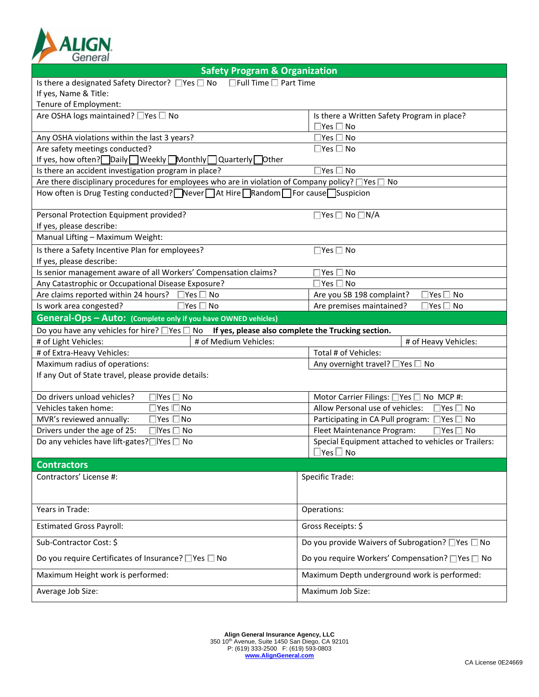

| <b>Safety Program &amp; Organization</b>                                                                     |                                                                    |  |  |
|--------------------------------------------------------------------------------------------------------------|--------------------------------------------------------------------|--|--|
| Is there a designated Safety Director? □Yes □ No □Full Time □ Part Time                                      |                                                                    |  |  |
| If yes, Name & Title:                                                                                        |                                                                    |  |  |
| Tenure of Employment:                                                                                        |                                                                    |  |  |
| Are OSHA logs maintained? □ Yes □ No                                                                         | Is there a Written Safety Program in place?                        |  |  |
|                                                                                                              | $\square$ Yes $\square$ No                                         |  |  |
| Any OSHA violations within the last 3 years?                                                                 | $\square$ Yes $\square$ No                                         |  |  |
| Are safety meetings conducted?                                                                               | $\square$ Yes $\square$ No                                         |  |  |
| If yes, how often? Daily Weekly Monthly Quarterly Other                                                      |                                                                    |  |  |
| Is there an accident investigation program in place?                                                         | $\exists$ Yes $\Box$ No                                            |  |  |
| Are there disciplinary procedures for employees who are in violation of Company policy? $\Box$ Yes $\Box$ No |                                                                    |  |  |
| How often is Drug Testing conducted? Never At Hire Random For cause Suspicion                                |                                                                    |  |  |
|                                                                                                              |                                                                    |  |  |
| Personal Protection Equipment provided?                                                                      | $\Box$ Yes $\Box$ No $\Box$ N/A                                    |  |  |
| If yes, please describe:                                                                                     |                                                                    |  |  |
| Manual Lifting - Maximum Weight:                                                                             |                                                                    |  |  |
| Is there a Safety Incentive Plan for employees?                                                              | $\square$ Yes $\square$ No                                         |  |  |
| If yes, please describe:                                                                                     |                                                                    |  |  |
| Is senior management aware of all Workers' Compensation claims?                                              | Yes $\Box$ No                                                      |  |  |
| Any Catastrophic or Occupational Disease Exposure?                                                           | Yes □ No                                                           |  |  |
| Are claims reported within 24 hours?<br>$\exists$ Yes $\Box$ No                                              | Are you SB 198 complaint?<br>Yes $\mathsf{\Gamma}$<br>No           |  |  |
| Is work area congested?<br>∃Yes □ No                                                                         | Are premises maintained?<br>$\mathsf{Yes} \,\square\, \mathsf{No}$ |  |  |
| General-Ops - Auto: (Complete only if you have OWNED vehicles)                                               |                                                                    |  |  |
| Do you have any vehicles for hire? $\Box$ Yes $\Box$ No If yes, please also complete the Trucking section.   |                                                                    |  |  |
| # of Medium Vehicles:<br># of Light Vehicles:                                                                | # of Heavy Vehicles:                                               |  |  |
| # of Extra-Heavy Vehicles:                                                                                   | Total # of Vehicles:                                               |  |  |
| Maximum radius of operations:                                                                                | Any overnight travel? □ Yes □ No                                   |  |  |
| If any Out of State travel, please provide details:                                                          |                                                                    |  |  |
|                                                                                                              |                                                                    |  |  |
| Do drivers unload vehicles?<br>∃lYes □ No                                                                    | Motor Carrier Filings: □Yes □ No MCP #:                            |  |  |
| Vehicles taken home:<br>]Yes I□No                                                                            | Allow Personal use of vehicles:<br>$\square$ Yes $\square$ No      |  |  |
| MVR's reviewed annually:<br>]Yes □No                                                                         | Participating in CA Pull program: $\Box$ Yes $\Box$ No             |  |  |
| Drivers under the age of 25:<br>$\Box$ Yes $\Box$<br>No                                                      | Fleet Maintenance Program:<br>$\Box$ Yes $\Box$ No                 |  |  |
| Do any vehicles have lift-gates?□Yes □ No                                                                    | Special Equipment attached to vehicles or Trailers:                |  |  |
|                                                                                                              | $\square$ Yes $\square$ No                                         |  |  |
| <b>Contractors</b>                                                                                           |                                                                    |  |  |
| Contractors' License #:                                                                                      | Specific Trade:                                                    |  |  |
|                                                                                                              |                                                                    |  |  |
|                                                                                                              |                                                                    |  |  |
| Years in Trade:                                                                                              | Operations:                                                        |  |  |
|                                                                                                              |                                                                    |  |  |
| <b>Estimated Gross Payroll:</b>                                                                              | Gross Receipts: \$                                                 |  |  |
| Sub-Contractor Cost: \$                                                                                      | Do you provide Waivers of Subrogation? □ Yes □ No                  |  |  |
| Do you require Certificates of Insurance? □ Yes □ No                                                         | Do you require Workers' Compensation? □ Yes □ No                   |  |  |
| Maximum Height work is performed:                                                                            | Maximum Depth underground work is performed:                       |  |  |
| Average Job Size:                                                                                            | Maximum Job Size:                                                  |  |  |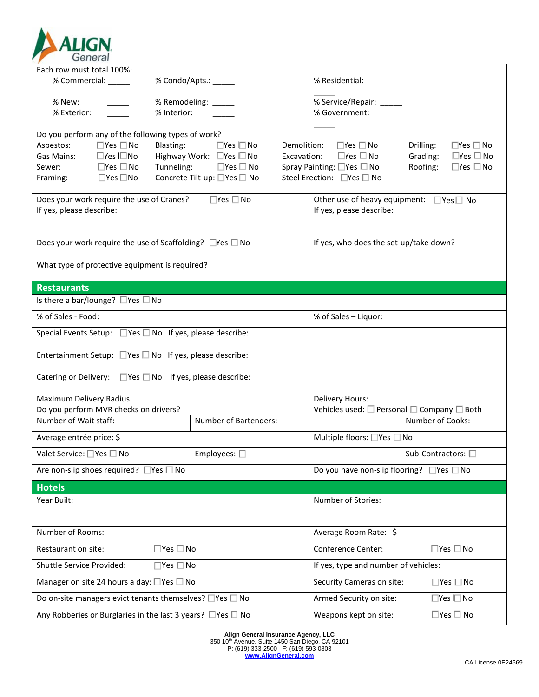

| Each row must total 100%:                                                |                                                                         |                                                                                                 |
|--------------------------------------------------------------------------|-------------------------------------------------------------------------|-------------------------------------------------------------------------------------------------|
| % Commercial: ______                                                     | % Condo/Apts.: _____                                                    | % Residential:                                                                                  |
| % New:                                                                   | % Remodeling: ____                                                      | % Service/Repair: ______                                                                        |
| % Exterior:                                                              | % Interior:                                                             | % Government:                                                                                   |
|                                                                          |                                                                         |                                                                                                 |
| Do you perform any of the following types of work?                       |                                                                         |                                                                                                 |
| $\Box$ Yes $\Box$ No<br>Asbestos:                                        | Blasting:<br>$\Box$ Yes $\Box$ No                                       | $\Box$ Yes $\Box$ No<br>Demolition:<br>Drilling:<br>$\square$ Yes $\square$ No                  |
| $\Box$ Yes I $\Box$ No<br>Gas Mains:<br>$\square$ Yes $\square$ No       | Highway Work: □Yes □ No                                                 | $\square$ Yes $\square$ No<br>$\square$ Yes $\square$ No<br>Grading:<br>Excavation:<br>Roofing: |
| Sewer:<br>$\square$ Yes $\square$ No<br>Framing:                         | Tunneling:<br>$\square$ Yes $\square$ No<br>Concrete Tilt-up: □Yes □ No | $\square$ Yes $\square$ No<br>Spray Painting: □Yes □ No<br>Steel Erection: □Yes □ No            |
|                                                                          |                                                                         |                                                                                                 |
| Does your work require the use of Cranes?                                | $\Box$ Yes $\Box$ No                                                    | Other use of heavy equipment: $\Box$ Yes $\Box$ No                                              |
| If yes, please describe:                                                 |                                                                         | If yes, please describe:                                                                        |
|                                                                          |                                                                         |                                                                                                 |
| Does your work require the use of Scaffolding? $\Box$ Yes $\Box$ No      |                                                                         | If yes, who does the set-up/take down?                                                          |
|                                                                          |                                                                         |                                                                                                 |
| What type of protective equipment is required?                           |                                                                         |                                                                                                 |
| <b>Restaurants</b>                                                       |                                                                         |                                                                                                 |
| Is there a bar/lounge? $\Box$ Yes $\Box$ No                              |                                                                         |                                                                                                 |
| % of Sales - Food:                                                       |                                                                         | % of Sales - Liquor:                                                                            |
| Special Events Setup: $\Box$ Yes $\Box$ No If yes, please describe:      |                                                                         |                                                                                                 |
| Entertainment Setup: $\Box$ Yes $\Box$ No If yes, please describe:       |                                                                         |                                                                                                 |
| Catering or Delivery: $\Box$ Yes $\Box$ No If yes, please describe:      |                                                                         |                                                                                                 |
|                                                                          |                                                                         |                                                                                                 |
| <b>Maximum Delivery Radius:</b>                                          |                                                                         | Delivery Hours:                                                                                 |
| Do you perform MVR checks on drivers?                                    |                                                                         | Vehicles used: $\square$ Personal $\square$ Company $\square$ Both                              |
| Number of Wait staff:                                                    | Number of Bartenders:                                                   | Number of Cooks:                                                                                |
| Average entrée price: \$                                                 |                                                                         | Multiple floors: □ Yes □ No                                                                     |
| Valet Service: □ Yes □ No                                                | Employees: $\square$                                                    | Sub-Contractors: □                                                                              |
| Are non-slip shoes required? $\Box$ Yes $\Box$ No                        |                                                                         | Do you have non-slip flooring? $\Box$ Yes $\Box$ No                                             |
| <b>Hotels</b>                                                            |                                                                         |                                                                                                 |
| Year Built:                                                              |                                                                         | Number of Stories:                                                                              |
|                                                                          |                                                                         |                                                                                                 |
| Number of Rooms:                                                         |                                                                         | Average Room Rate: \$                                                                           |
| Restaurant on site:                                                      | $\square$ Yes $\square$ No                                              | Conference Center:<br>$\square$ Yes $\square$ No                                                |
| Shuttle Service Provided:                                                | $\square$ Yes $\square$ No                                              | If yes, type and number of vehicles:                                                            |
| Manager on site 24 hours a day: $\Box$ Yes $\Box$ No                     |                                                                         | $\square$ Yes $\square$ No<br>Security Cameras on site:                                         |
| Do on-site managers evict tenants themselves? $\square$ Yes $\square$ No |                                                                         | Armed Security on site:<br>$\Box$ Yes $\Box$ No                                                 |
| Any Robberies or Burglaries in the last 3 years? $\Box$ Yes $\Box$ No    |                                                                         | $\square$ Yes $\square$ No<br>Weapons kept on site:                                             |

**Align General Insurance Agency, LLC** 350 10th Avenue, Suite 1450 San Diego, CA 92101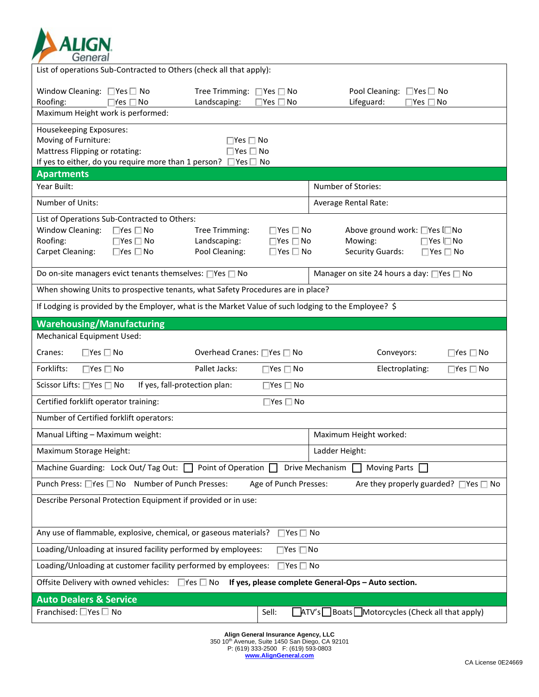

| List of operations Sub-Contracted to Others (check all that apply):                                                                                                      |                                                    |                                                                      |                                                                                                                    |                            |
|--------------------------------------------------------------------------------------------------------------------------------------------------------------------------|----------------------------------------------------|----------------------------------------------------------------------|--------------------------------------------------------------------------------------------------------------------|----------------------------|
| Window Cleaning: □ Yes □ No<br>Roofing:<br>$\Box$ Yes $\Box$ No                                                                                                          | Tree Trimming: □ Yes □ No<br>Landscaping:          | $\square$ Yes $\square$ No                                           | Pool Cleaning: □ Yes □ No<br>Lifeguard:<br>$\square$ Yes $\square$ No                                              |                            |
| Maximum Height work is performed:                                                                                                                                        |                                                    |                                                                      |                                                                                                                    |                            |
| Housekeeping Exposures:<br>Moving of Furniture:<br>Mattress Flipping or rotating:<br>If yes to either, do you require more than 1 person? $\Box$ Yes $\Box$ No           | $\Box$ Yes $\Box$ No<br>$\square$ Yes $\square$ No |                                                                      |                                                                                                                    |                            |
| <b>Apartments</b>                                                                                                                                                        |                                                    |                                                                      |                                                                                                                    |                            |
| Year Built:                                                                                                                                                              |                                                    |                                                                      | Number of Stories:                                                                                                 |                            |
| Number of Units:                                                                                                                                                         |                                                    |                                                                      | Average Rental Rate:                                                                                               |                            |
| List of Operations Sub-Contracted to Others:<br>Window Cleaning:<br>$\Box$ Yes $\Box$ No<br>Roofing:<br>$\Box$ Yes $\Box$ No<br>Carpet Cleaning:<br>$\Box$ Yes $\Box$ No | Tree Trimming:<br>Landscaping:<br>Pool Cleaning:   | $\Box$ Yes $\Box$ No<br>$\Box$ Yes $\Box$ No<br>$\Box$ Yes $\Box$ No | Above ground work: □Yes I□No<br>Mowing:<br>$\Box$ Yes $\Box$ No<br><b>Security Guards:</b><br>$\Box$ Yes $\Box$ No |                            |
| Do on-site managers evict tenants themselves: □Yes □ No                                                                                                                  |                                                    |                                                                      | Manager on site 24 hours a day: □Yes □ No                                                                          |                            |
| When showing Units to prospective tenants, what Safety Procedures are in place?                                                                                          |                                                    |                                                                      |                                                                                                                    |                            |
| If Lodging is provided by the Employer, what is the Market Value of such lodging to the Employee? \$                                                                     |                                                    |                                                                      |                                                                                                                    |                            |
| <b>Warehousing/Manufacturing</b>                                                                                                                                         |                                                    |                                                                      |                                                                                                                    |                            |
| <b>Mechanical Equipment Used:</b>                                                                                                                                        |                                                    |                                                                      |                                                                                                                    |                            |
| $\Box$ Yes $\Box$ No<br>Cranes:                                                                                                                                          | Overhead Cranes: □Yes □ No                         |                                                                      | Conveyors:                                                                                                         | $\square$ Yes $\square$ No |
| Forklifts:<br>$\Box$ Yes $\Box$ No                                                                                                                                       | Pallet Jacks:                                      | $\Box$ Yes $\Box$ No                                                 | Electroplating:                                                                                                    | $\Box$ Yes $\Box$ No       |
| If yes, fall-protection plan:<br>Scissor Lifts: □Yes □ No                                                                                                                |                                                    | $\square$ Yes $\square$ No                                           |                                                                                                                    |                            |
| Certified forklift operator training:                                                                                                                                    |                                                    | $\square$ Yes $\square$ No                                           |                                                                                                                    |                            |
| Number of Certified forklift operators:                                                                                                                                  |                                                    |                                                                      |                                                                                                                    |                            |
| Manual Lifting - Maximum weight:                                                                                                                                         |                                                    |                                                                      | Maximum Height worked:                                                                                             |                            |
| Maximum Storage Height:                                                                                                                                                  |                                                    |                                                                      | Ladder Height:                                                                                                     |                            |
| Machine Guarding: Lock Out/Tag Out: $\Box$ Point of Operation $\Box$ Drive Mechanism                                                                                     |                                                    |                                                                      | <b>Moving Parts</b><br>$\mathbf{1}$                                                                                |                            |
| Punch Press: □Yes □ No Number of Punch Presses:                                                                                                                          |                                                    | Age of Punch Presses:                                                | Are they properly guarded? $\Box$ Yes $\Box$ No                                                                    |                            |
| Describe Personal Protection Equipment if provided or in use:                                                                                                            |                                                    |                                                                      |                                                                                                                    |                            |
| Any use of flammable, explosive, chemical, or gaseous materials?<br>$\Box$ Yes $\Box$ No                                                                                 |                                                    |                                                                      |                                                                                                                    |                            |
| Loading/Unloading at insured facility performed by employees:<br>$\Box$ Yes $\Box$ No                                                                                    |                                                    |                                                                      |                                                                                                                    |                            |
| Loading/Unloading at customer facility performed by employees:<br>$\Box$ Yes $\Box$ No                                                                                   |                                                    |                                                                      |                                                                                                                    |                            |
| If yes, please complete General-Ops - Auto section.<br>Offsite Delivery with owned vehicles: $\Box$ Yes $\Box$ No                                                        |                                                    |                                                                      |                                                                                                                    |                            |
| <b>Auto Dealers &amp; Service</b>                                                                                                                                        |                                                    |                                                                      |                                                                                                                    |                            |
|                                                                                                                                                                          |                                                    |                                                                      |                                                                                                                    |                            |

**Align General Insurance Agency, LLC** 350 10th Avenue, Suite 1450 San Diego, CA 92101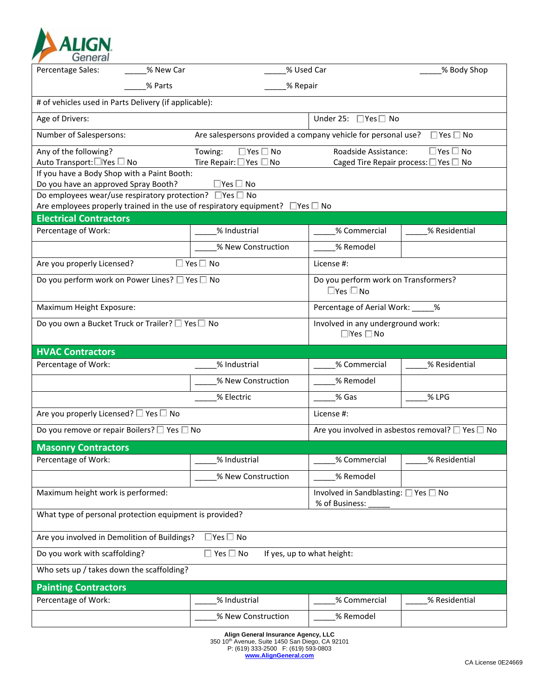

| Percentage Sales:                                                                                                   | % New Car | % Used Car                                                                               |                                                                  | % Body Shop                           |  |
|---------------------------------------------------------------------------------------------------------------------|-----------|------------------------------------------------------------------------------------------|------------------------------------------------------------------|---------------------------------------|--|
|                                                                                                                     | % Parts   | % Repair                                                                                 |                                                                  |                                       |  |
| # of vehicles used in Parts Delivery (if applicable):                                                               |           |                                                                                          |                                                                  |                                       |  |
| Age of Drivers:                                                                                                     |           |                                                                                          | Under 25: $\Box$ Yes $\Box$ No                                   |                                       |  |
| Are salespersons provided a company vehicle for personal use? $\square$ Yes $\square$ No<br>Number of Salespersons: |           |                                                                                          |                                                                  |                                       |  |
| Any of the following?                                                                                               |           | Towing:<br>$\Box$ Yes $\Box$ No                                                          | Roadside Assistance:                                             | $\square$ Yes $\square$ No            |  |
| Auto Transport:□Yes □ No<br>If you have a Body Shop with a Paint Booth:                                             |           | Tire Repair: $\Box$ Yes $\Box$ No                                                        |                                                                  | Caged Tire Repair process: □ Yes □ No |  |
| Do you have an approved Spray Booth?                                                                                |           | $\Box$ Yes $\Box$ No                                                                     |                                                                  |                                       |  |
| Do employees wear/use respiratory protection? □ Yes □ No                                                            |           |                                                                                          |                                                                  |                                       |  |
|                                                                                                                     |           | Are employees properly trained in the use of respiratory equipment? $\Box$ Yes $\Box$ No |                                                                  |                                       |  |
| <b>Electrical Contractors</b>                                                                                       |           |                                                                                          |                                                                  |                                       |  |
| Percentage of Work:                                                                                                 |           | % Industrial                                                                             | % Commercial                                                     | % Residential                         |  |
|                                                                                                                     |           | % New Construction                                                                       | % Remodel                                                        |                                       |  |
| Are you properly Licensed?                                                                                          |           | $\square$ Yes $\square$ No                                                               | License #:                                                       |                                       |  |
| Do you perform work on Power Lines? $\square$ Yes $\square$ No                                                      |           |                                                                                          | Do you perform work on Transformers?                             |                                       |  |
|                                                                                                                     |           |                                                                                          | $\Box$ Yes $\Box$ No                                             |                                       |  |
| Maximum Height Exposure:                                                                                            |           |                                                                                          | Percentage of Aerial Work: _____%                                |                                       |  |
| Do you own a Bucket Truck or Trailer? $\square$ Yes $\square$ No                                                    |           | Involved in any underground work:<br>$\Box$ Yes $\Box$ No                                |                                                                  |                                       |  |
| <b>HVAC Contractors</b>                                                                                             |           |                                                                                          |                                                                  |                                       |  |
| Percentage of Work:                                                                                                 |           | % Industrial                                                                             | % Commercial                                                     | % Residential                         |  |
|                                                                                                                     |           | % New Construction                                                                       | % Remodel                                                        |                                       |  |
|                                                                                                                     |           | % Electric                                                                               | % Gas                                                            | % LPG                                 |  |
| Are you properly Licensed? □ Yes □ No                                                                               |           |                                                                                          | License #:                                                       |                                       |  |
| Do you remove or repair Boilers? $\square$ Yes $\square$ No                                                         |           |                                                                                          | Are you involved in asbestos removal? $\square$ Yes $\square$ No |                                       |  |
| <b>Masonry Contractors</b>                                                                                          |           |                                                                                          |                                                                  |                                       |  |
| Percentage of Work:                                                                                                 |           | % Industrial                                                                             | % Commercial                                                     | % Residential                         |  |
|                                                                                                                     |           | % New Construction                                                                       | % Remodel                                                        |                                       |  |
| Maximum height work is performed:                                                                                   |           |                                                                                          | Involved in Sandblasting: □ Yes □ No<br>% of Business:           |                                       |  |
| What type of personal protection equipment is provided?                                                             |           |                                                                                          |                                                                  |                                       |  |
| Are you involved in Demolition of Buildings?                                                                        |           | $\Box$ Yes $\Box$ No                                                                     |                                                                  |                                       |  |
| Do you work with scaffolding?                                                                                       |           | $\square$ Yes $\square$ No                                                               | If yes, up to what height:                                       |                                       |  |
| Who sets up / takes down the scaffolding?                                                                           |           |                                                                                          |                                                                  |                                       |  |
|                                                                                                                     |           |                                                                                          |                                                                  |                                       |  |
| <b>Painting Contractors</b><br>Percentage of Work:                                                                  |           | % Industrial                                                                             | % Commercial                                                     |                                       |  |
|                                                                                                                     |           |                                                                                          |                                                                  | % Residential                         |  |
|                                                                                                                     |           | % New Construction                                                                       | % Remodel                                                        |                                       |  |

**Align General Insurance Agency, LLC** 350 10th Avenue, Suite 1450 San Diego, CA 92101 P: (619) 333-2500 F: (619) 593-0803 **www.AlignGeneral.com**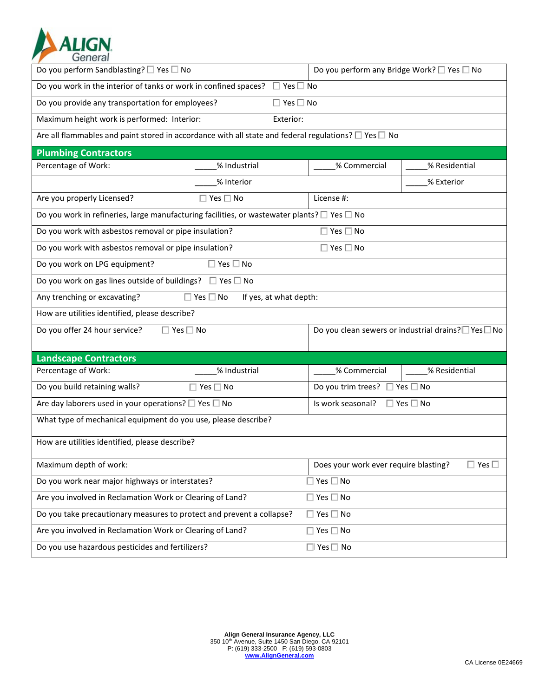

| Do you perform Sandblasting? □ Yes □ No                                                                              | Do you perform any Bridge Work? □ Yes □ No      |                                                    |  |
|----------------------------------------------------------------------------------------------------------------------|-------------------------------------------------|----------------------------------------------------|--|
| Do you work in the interior of tanks or work in confined spaces?<br>$\Box$ Yes $\Box$ No                             |                                                 |                                                    |  |
| Do you provide any transportation for employees?<br>$\Box$ Yes $\Box$ No                                             |                                                 |                                                    |  |
| Maximum height work is performed: Interior:<br>Exterior:                                                             |                                                 |                                                    |  |
| Are all flammables and paint stored in accordance with all state and federal regulations? $\square$ Yes $\square$ No |                                                 |                                                    |  |
| <b>Plumbing Contractors</b>                                                                                          |                                                 |                                                    |  |
| Percentage of Work:<br>% Industrial                                                                                  | % Commercial                                    | % Residential                                      |  |
| % Interior                                                                                                           |                                                 | % Exterior                                         |  |
| $\Box$ Yes $\Box$ No<br>Are you properly Licensed?                                                                   | License #:                                      |                                                    |  |
| Do you work in refineries, large manufacturing facilities, or wastewater plants? $\square$ Yes $\square$ No          |                                                 |                                                    |  |
| Do you work with asbestos removal or pipe insulation?                                                                | Yes $\square$ No                                |                                                    |  |
| Do you work with asbestos removal or pipe insulation?                                                                | Yes $\square$ No                                |                                                    |  |
| Yes $\square$ No<br>Do you work on LPG equipment?                                                                    |                                                 |                                                    |  |
| Do you work on gas lines outside of buildings?<br>$\Box$ Yes $\Box$ No                                               |                                                 |                                                    |  |
| Any trenching or excavating?<br>$\square$ Yes $\square$ No<br>If yes, at what depth:                                 |                                                 |                                                    |  |
| How are utilities identified, please describe?                                                                       |                                                 |                                                    |  |
| Do you offer 24 hour service?<br>$\square$ Yes $\square$ No                                                          |                                                 | Do you clean sewers or industrial drains? Yes △ No |  |
|                                                                                                                      |                                                 |                                                    |  |
| <b>Landscape Contractors</b>                                                                                         |                                                 |                                                    |  |
| Percentage of Work:<br>% Industrial                                                                                  | % Commercial                                    | % Residential                                      |  |
| Do you build retaining walls?<br>$\square$ Yes $\square$ No                                                          | Do you trim trees? □ Yes □ No                   |                                                    |  |
| Are day laborers used in your operations? $\square$ Yes $\square$ No                                                 | Is work seasonal?<br>$\square$ Yes $\square$ No |                                                    |  |
| What type of mechanical equipment do you use, please describe?                                                       |                                                 |                                                    |  |
| How are utilities identified, please describe?                                                                       |                                                 |                                                    |  |
| Maximum depth of work:                                                                                               | Does your work ever require blasting?           | $\square$ Yes $\square$                            |  |
| Do you work near major highways or interstates?                                                                      | $\square$ Yes $\square$ No                      |                                                    |  |
| Are you involved in Reclamation Work or Clearing of Land?                                                            | $\square$ Yes $\square$ No                      |                                                    |  |
| Do you take precautionary measures to protect and prevent a collapse?                                                | $\Box$ Yes $\Box$ No                            |                                                    |  |
| Are you involved in Reclamation Work or Clearing of Land?                                                            | $\Box$ Yes $\Box$ No                            |                                                    |  |
| Do you use hazardous pesticides and fertilizers?                                                                     | $\Box$ Yes $\Box$ No                            |                                                    |  |